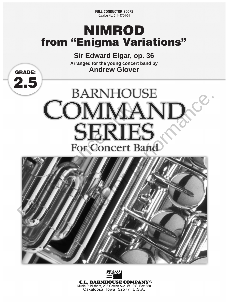**FULL CONDUCTOR SCORE** Catalog No: 011-4704-01

# NIMROD from "Enigma Variations"

# **Sir Edward Elgar, op. 36 Arranged for the young concert band by Andrew Glover**

GRADE:

2.5

# COMMAN<br>SERIES<br>For Concert Band



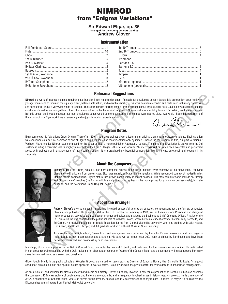# NIMROD from "Enigma Variations"

### **Sir Edward Elgar, op. 36 Arranged for the young concert band by Andrew Glover**

#### Instrumentation

#### Rehearsal Suggestions

**Nimrod** is a work of modest technical requirements, but significant musical demands. As such, for developing concert bands, it is an excellent opportunity for younger musicians to focus on tone quality, blend, balance, intonation, and overall musicality. This work has been recorded and performed with many orchestras and conductors, and at a very wide range of tempos. The recommended starting tempo for this arrangement, Largo (quarter note) = 54 is only a guideline, and the conductor should be encouraged to explore other tempos if warranted by musical judgment. Some conductors, notably Leonard Bernstein, used a tempo almost half this speed, but I would suggest that most developing bands would be more successful if the tempo were not too slow. Above all, I hope that performers of this extraordinary Elgar work have a rewarding and enjoyable musical experience with it. **Notation and the set of the client and all published in the client and all published by the set of the set of the set of the set of the set of the set of the set of the set of the set of the set of the set of the set of t** 

## Program Notes

Elgar completed his "Variations On An Original Theme" in 1899. It is a large orchestral work, featuring an original theme, with fourteen variations. Each variation was conceived as a musical depiction of one of Elgar's acquaintances, and most identified only by initials – hence the more common title, "Enigma Variations." Variation No. 9, entitled Nimrod, was composed for the editor at Elgar's music publisher, Augustus J. Jaeger. The name of this variation is drawn from the Old Testament, citing a man who was "a mighty hunter before the Lord." Jaeger is the German word for "hunter." **Nimrod** has often been excerpted and performed alone, with orchestra or in arrangements of many configurations. It is a breathtakingly beautiful composition, highly moving, emotional, and eloquent in its simplicity. women musicians to focus on tone quality, blend, balance, intonation, and overall musicially. This work has ead, but I would be encouraged to sphere only the conductor should be encouraged to sphere conduct and this speed,

#### About the Composer



**Edward Elgar** (1857-1934) was a British-born composer whose music has a distinct flavor evocative of his native land. Studying piano and violin privately from an early age, Elgar was entirely self-taught in composition. While recognized somewhat modestly in his lifetime for his compositions, Elgar's stature has grown considerably in recent decades. His most famous works include six "Pomp and Circumstance" marches (the first of which is ubiquitously recognized as the music played for graduation processionals), his cello concerto, and the "Variations On An Original Theme."

#### About the Arranger



**Andrew Glover's** diverse career in music has included successful tenures as educator, composer/arranger, performer, conductor, clinician, and publisher. He joined the staff of the C. L. Barnhouse Company in 1998, and as Executive Vice President is in charge of music production, serves as staff composer-arranger and editor, and manages the business as Chief Operating Officer. A native of the St. Louis area, he was educated in the public schools of Webster Groves, where he was a student of Walter Lathen, Tony Carosello, and Ed Carson. He received a Bachelor of Music Education degree from Central Methodist University, where he studied with Keith House, Ron Anson, and Ronald Shroyer, and did graduate work at Southeast Missouri State University.

As a sophomore in high school, Glover first band arrangement was performed by the school's wind ensemble, and thus began a multi-decade career in composition and arranging. His band works number over 200, many published by Barnhouse, and have been performed, recorded, and broadcast by bands worldwide.

In college, Glover won a position in the Detroit Concert Band, conducted by Leonard B. Smith, and performed for four seasons on euphonium. He participated in numerous recording sessions with the DCB, including ten phonograph records of "Gems of the Concert Band" and a documentary film soundtrack. For many years he also performed as a soloist and guest artist.

Glover taught briefly in the public schools of Webster Groves, and served for seven years as Director of Bands at Rosary High School in St. Louis. As a guest conductor, clinician, soloist, and speaker he has appeared in over 35 states. He also worked in the private sector for over a decade in association management.

An enthusiast of, and advocate for classic concert band music and history, Glover is not only involved in new music production at Barnhouse, but also oversees the company's 130+ year archive of publications and historical memorabilia, and is frequently involved in band history research projects. He is a member of ASCAP; Association of Concert Bands, where he serves on the advisory council; and is Vice President of Windjammers Unlimited. In May 2013 he received the Distinguished Alumni award from Central Methodist University.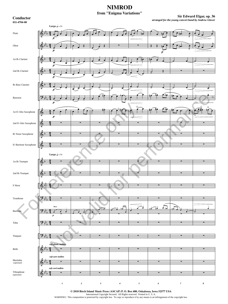# **NIMROD**

**from "Enigma Variations"**

**Sir Edward Elgar, op. 36** *arranged for the young concert band by Andrew Glover* **Conductor**

| 011-4704-00                                                         |                                                                |                         |               |           |            |   |                  | arangea for the young concert bana by Thun on Glover |
|---------------------------------------------------------------------|----------------------------------------------------------------|-------------------------|---------------|-----------|------------|---|------------------|------------------------------------------------------|
|                                                                     | Largo $\downarrow$ = 54                                        |                         |               |           |            |   |                  |                                                      |
| Flute                                                               |                                                                |                         |               |           |            |   |                  |                                                      |
|                                                                     | $\boldsymbol{p}$                                               |                         |               |           |            |   |                  |                                                      |
|                                                                     |                                                                |                         |               |           |            |   |                  |                                                      |
| Oboe                                                                |                                                                |                         |               |           |            |   |                  |                                                      |
|                                                                     | $\boldsymbol{p}$                                               |                         |               |           |            |   |                  |                                                      |
| $1\,\mathrm{st}$ B<br>$\flat$ Clarinet                              |                                                                |                         |               |           |            |   |                  |                                                      |
|                                                                     |                                                                |                         |               |           |            |   |                  |                                                      |
|                                                                     |                                                                |                         |               |           |            |   |                  |                                                      |
| $2{\rm nd}$ B» Clarinet                                             |                                                                |                         |               |           |            |   |                  |                                                      |
|                                                                     |                                                                |                         |               |           |            |   |                  |                                                      |
|                                                                     |                                                                |                         |               |           |            |   |                  |                                                      |
| $\mathbf{B}\flat$ Bass Clarinet                                     | $\circ$                                                        |                         |               | 6         |            |   |                  |                                                      |
|                                                                     |                                                                |                         |               |           |            |   |                  |                                                      |
| Bassoon                                                             |                                                                |                         |               |           |            |   |                  |                                                      |
|                                                                     | $\boldsymbol{p}$                                               |                         |               |           |            |   |                  |                                                      |
|                                                                     |                                                                |                         |               |           |            |   |                  |                                                      |
| $1\,\mathrm{st}$ E» Alto Saxophone                                  | $\overline{\mathbb{C}}$                                        |                         |               |           |            |   |                  |                                                      |
|                                                                     | $\boldsymbol{p}$                                               |                         |               |           |            |   |                  |                                                      |
|                                                                     |                                                                |                         |               |           |            |   |                  |                                                      |
| $2\mathord{\mathrm{nd}} \to \operatorname{\mathsf{Alto}}$ Saxophone | ⊕<br>$\bullet$                                                 |                         |               |           |            |   |                  |                                                      |
|                                                                     |                                                                |                         |               |           |            |   |                  |                                                      |
| $\mathbf{B}\flat$ Tenor Saxophone                                   |                                                                |                         |               |           |            |   |                  |                                                      |
|                                                                     |                                                                |                         |               |           |            |   |                  |                                                      |
| $\to$ Baritone Saxophone                                            | $\bigcirc$                                                     |                         |               |           |            |   |                  |                                                      |
|                                                                     |                                                                |                         |               |           |            |   |                  |                                                      |
|                                                                     | Largo $\bullet$ = 54                                           |                         |               |           |            |   |                  |                                                      |
| $1\,\mathrm{st}$ B» Trumpet                                         |                                                                |                         |               |           |            |   |                  |                                                      |
|                                                                     |                                                                |                         |               |           |            |   |                  |                                                      |
|                                                                     | দে                                                             |                         |               |           |            |   |                  |                                                      |
|                                                                     |                                                                |                         |               |           |            |   |                  |                                                      |
| $2{\rm nd}$ B» Trumpet                                              | €                                                              |                         |               |           |            |   |                  |                                                      |
|                                                                     |                                                                |                         |               |           |            |   |                  |                                                      |
|                                                                     |                                                                |                         |               |           |            |   |                  |                                                      |
| ${\rm F}$ Horn                                                      |                                                                |                         |               |           |            |   |                  |                                                      |
|                                                                     |                                                                |                         |               |           |            |   |                  |                                                      |
| Trombone                                                            | $\mathbf{9}$                                                   |                         |               |           |            |   |                  |                                                      |
|                                                                     |                                                                |                         |               |           |            |   |                  |                                                      |
|                                                                     | $Bssn$ .                                                       |                         | $\Rightarrow$ |           |            |   |                  |                                                      |
| Baritone                                                            | $\mathcal{P}$                                                  |                         |               |           |            |   |                  |                                                      |
|                                                                     | $\pmb{p}$                                                      |                         |               |           |            |   |                  |                                                      |
| ${\bf T}$ uba                                                       | <u> •):</u><br>≖<br>÷.                                         |                         |               |           | ▬          |   |                  |                                                      |
|                                                                     |                                                                |                         |               |           |            |   |                  |                                                      |
|                                                                     |                                                                |                         |               |           |            |   |                  |                                                      |
| Timpani                                                             | €<br>₽                                                         |                         |               |           |            |   |                  |                                                      |
|                                                                     |                                                                |                         |               |           |            |   |                  |                                                      |
|                                                                     | soft plastic mallets                                           |                         |               |           |            |   |                  |                                                      |
| $\operatorname{Bells}$                                              | Ģ                                                              |                         |               |           |            |   |                  |                                                      |
|                                                                     | $\,$ soft yarn mallets                                         |                         |               |           |            |   |                  |                                                      |
| $\mathbf{Marimba}$                                                  | ⊕                                                              |                         |               |           |            |   |                  |                                                      |
|                                                                     | ∙                                                              |                         |               |           |            |   |                  |                                                      |
| $\left( optimal\right)$                                             | $\operatorname{soft}\operatorname{cord}\operatorname{mallest}$ |                         |               |           | Н          | Н | н                |                                                      |
| Vibraphone<br>(optional)                                            |                                                                |                         |               |           |            |   |                  |                                                      |
|                                                                     | $\boldsymbol{I}$                                               | $\overline{\mathbf{c}}$ | $\mathbf{3}$  | $\pmb{4}$ | $\sqrt{5}$ | 6 | $\boldsymbol{7}$ | $\pmb{8}$                                            |

© 2018 Birch Island Music Press (ASCAP) P. O. Box 680, Oskaloosa, Iowa 52577 USA<br>International Copyright Secured. All Rights reserved. Printed in U. S. A.<br>WARNING! This composition is protected by copyright law. To copy or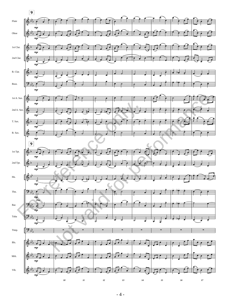

- 4 -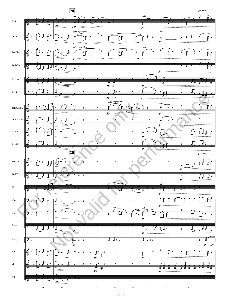

- 5 -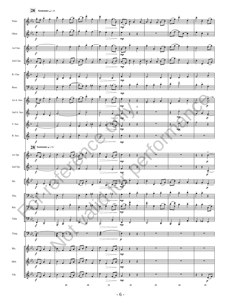**28** Sostenuto  $\sqrt{ }$  = 50

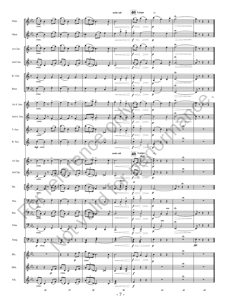